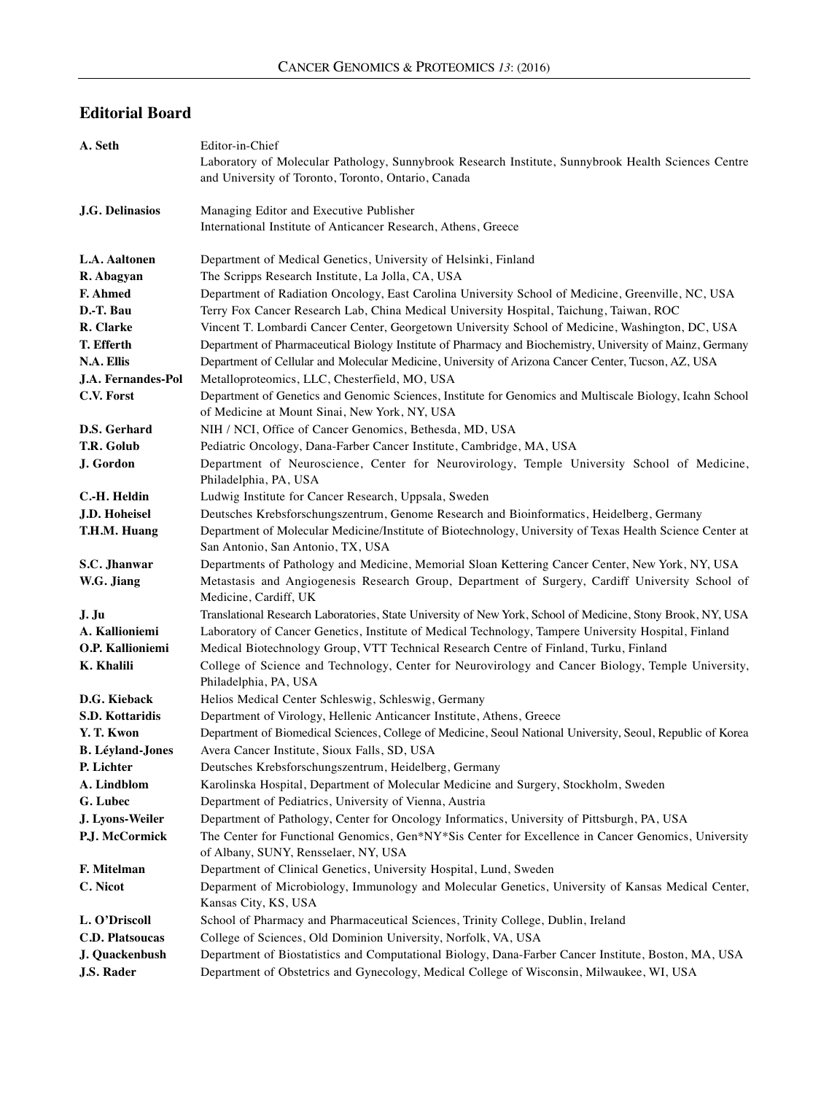## **Editorial Board**

| A. Seth                               | Editor-in-Chief                                                                                                                                             |
|---------------------------------------|-------------------------------------------------------------------------------------------------------------------------------------------------------------|
|                                       | Laboratory of Molecular Pathology, Sunnybrook Research Institute, Sunnybrook Health Sciences Centre                                                         |
|                                       | and University of Toronto, Toronto, Ontario, Canada                                                                                                         |
|                                       |                                                                                                                                                             |
| <b>J.G. Delinasios</b>                | Managing Editor and Executive Publisher<br>International Institute of Anticancer Research, Athens, Greece                                                   |
|                                       |                                                                                                                                                             |
| L.A. Aaltonen                         | Department of Medical Genetics, University of Helsinki, Finland                                                                                             |
| R. Abagyan                            | The Scripps Research Institute, La Jolla, CA, USA                                                                                                           |
| F. Ahmed                              | Department of Radiation Oncology, East Carolina University School of Medicine, Greenville, NC, USA                                                          |
| D.-T. Bau                             | Terry Fox Cancer Research Lab, China Medical University Hospital, Taichung, Taiwan, ROC                                                                     |
| R. Clarke                             | Vincent T. Lombardi Cancer Center, Georgetown University School of Medicine, Washington, DC, USA                                                            |
| T. Efferth                            | Department of Pharmaceutical Biology Institute of Pharmacy and Biochemistry, University of Mainz, Germany                                                   |
| N.A. Ellis                            | Department of Cellular and Molecular Medicine, University of Arizona Cancer Center, Tucson, AZ, USA                                                         |
| J.A. Fernandes-Pol                    | Metalloproteomics, LLC, Chesterfield, MO, USA                                                                                                               |
| C.V. Forst                            | Department of Genetics and Genomic Sciences, Institute for Genomics and Multiscale Biology, Icahn School<br>of Medicine at Mount Sinai, New York, NY, USA   |
| D.S. Gerhard                          | NIH / NCI, Office of Cancer Genomics, Bethesda, MD, USA                                                                                                     |
| T.R. Golub                            | Pediatric Oncology, Dana-Farber Cancer Institute, Cambridge, MA, USA                                                                                        |
| J. Gordon                             | Department of Neuroscience, Center for Neurovirology, Temple University School of Medicine,                                                                 |
|                                       | Philadelphia, PA, USA                                                                                                                                       |
| C.-H. Heldin                          | Ludwig Institute for Cancer Research, Uppsala, Sweden                                                                                                       |
| J.D. Hoheisel                         | Deutsches Krebsforschungszentrum, Genome Research and Bioinformatics, Heidelberg, Germany                                                                   |
| T.H.M. Huang                          | Department of Molecular Medicine/Institute of Biotechnology, University of Texas Health Science Center at<br>San Antonio, San Antonio, TX, USA              |
| S.C. Jhanwar                          | Departments of Pathology and Medicine, Memorial Sloan Kettering Cancer Center, New York, NY, USA                                                            |
| W.G. Jiang                            | Metastasis and Angiogenesis Research Group, Department of Surgery, Cardiff University School of<br>Medicine, Cardiff, UK                                    |
| J. Ju                                 | Translational Research Laboratories, State University of New York, School of Medicine, Stony Brook, NY, USA                                                 |
| A. Kallioniemi                        | Laboratory of Cancer Genetics, Institute of Medical Technology, Tampere University Hospital, Finland                                                        |
| O.P. Kallioniemi                      | Medical Biotechnology Group, VTT Technical Research Centre of Finland, Turku, Finland                                                                       |
| <b>K. Khalili</b>                     | College of Science and Technology, Center for Neurovirology and Cancer Biology, Temple University,                                                          |
|                                       | Philadelphia, PA, USA                                                                                                                                       |
| D.G. Kieback                          | Helios Medical Center Schleswig, Schleswig, Germany                                                                                                         |
| S.D. Kottaridis                       | Department of Virology, Hellenic Anticancer Institute, Athens, Greece                                                                                       |
| Y. T. Kwon<br><b>B.</b> Léyland-Jones | Department of Biomedical Sciences, College of Medicine, Seoul National University, Seoul, Republic of Korea<br>Avera Cancer Institute, Sioux Falls, SD, USA |
| P. Lichter                            | Deutsches Krebsforschungszentrum, Heidelberg, Germany                                                                                                       |
| A. Lindblom                           | Karolinska Hospital, Department of Molecular Medicine and Surgery, Stockholm, Sweden                                                                        |
| G. Lubec                              | Department of Pediatrics, University of Vienna, Austria                                                                                                     |
| J. Lyons-Weiler                       | Department of Pathology, Center for Oncology Informatics, University of Pittsburgh, PA, USA                                                                 |
| P.J. McCormick                        | The Center for Functional Genomics, Gen*NY*Sis Center for Excellence in Cancer Genomics, University                                                         |
|                                       | of Albany, SUNY, Rensselaer, NY, USA                                                                                                                        |
| F. Mitelman                           | Department of Clinical Genetics, University Hospital, Lund, Sweden                                                                                          |
| C. Nicot                              | Deparment of Microbiology, Immunology and Molecular Genetics, University of Kansas Medical Center,                                                          |
|                                       | Kansas City, KS, USA                                                                                                                                        |
| L. O'Driscoll                         | School of Pharmacy and Pharmaceutical Sciences, Trinity College, Dublin, Ireland                                                                            |
| <b>C.D. Platsoucas</b>                | College of Sciences, Old Dominion University, Norfolk, VA, USA                                                                                              |
| J. Quackenbush                        | Department of Biostatistics and Computational Biology, Dana-Farber Cancer Institute, Boston, MA, USA                                                        |
| <b>J.S. Rader</b>                     | Department of Obstetrics and Gynecology, Medical College of Wisconsin, Milwaukee, WI, USA                                                                   |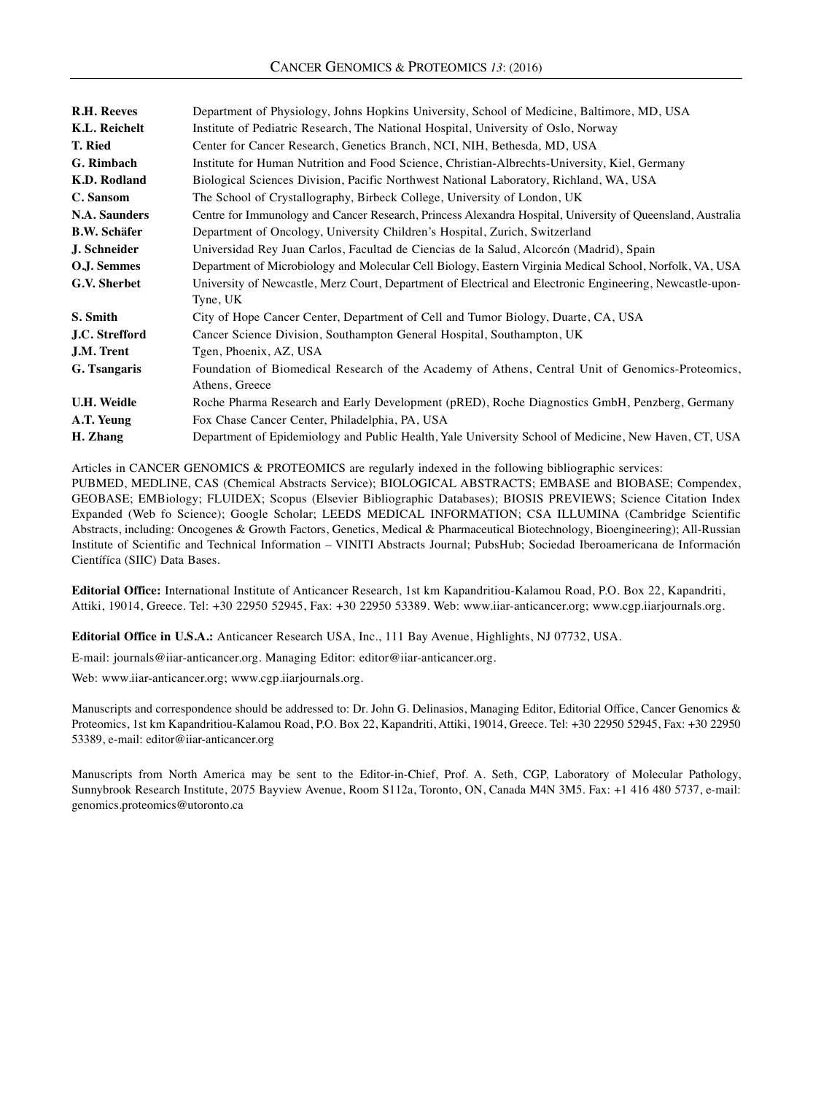| <b>R.H. Reeves</b>  | Department of Physiology, Johns Hopkins University, School of Medicine, Baltimore, MD, USA                  |
|---------------------|-------------------------------------------------------------------------------------------------------------|
| K.L. Reichelt       | Institute of Pediatric Research, The National Hospital, University of Oslo, Norway                          |
| T. Ried             | Center for Cancer Research, Genetics Branch, NCI, NIH, Bethesda, MD, USA                                    |
| G. Rimbach          | Institute for Human Nutrition and Food Science, Christian-Albrechts-University, Kiel, Germany               |
| K.D. Rodland        | Biological Sciences Division, Pacific Northwest National Laboratory, Richland, WA, USA                      |
| C. Sansom           | The School of Crystallography, Birbeck College, University of London, UK                                    |
| N.A. Saunders       | Centre for Immunology and Cancer Research, Princess Alexandra Hospital, University of Queensland, Australia |
| <b>B.W. Schäfer</b> | Department of Oncology, University Children's Hospital, Zurich, Switzerland                                 |
| J. Schneider        | Universidad Rey Juan Carlos, Facultad de Ciencias de la Salud, Alcorcón (Madrid), Spain                     |
| O.J. Semmes         | Department of Microbiology and Molecular Cell Biology, Eastern Virginia Medical School, Norfolk, VA, USA    |
| G.V. Sherbet        | University of Newcastle, Merz Court, Department of Electrical and Electronic Engineering, Newcastle-upon-   |
|                     | Tyne, UK                                                                                                    |
| S. Smith            | City of Hope Cancer Center, Department of Cell and Tumor Biology, Duarte, CA, USA                           |
| J.C. Strefford      | Cancer Science Division, Southampton General Hospital, Southampton, UK                                      |
| J.M. Trent          | Tgen, Phoenix, AZ, USA                                                                                      |
| G. Tsangaris        | Foundation of Biomedical Research of the Academy of Athens, Central Unit of Genomics-Proteomics,            |
|                     | Athens, Greece                                                                                              |
| <b>U.H. Weidle</b>  | Roche Pharma Research and Early Development (pRED), Roche Diagnostics GmbH, Penzberg, Germany               |
| A.T. Yeung          | Fox Chase Cancer Center, Philadelphia, PA, USA                                                              |
| H. Zhang            | Department of Epidemiology and Public Health, Yale University School of Medicine, New Haven, CT, USA        |

Articles in CANCER GENOMICS & PROTEOMICS are regularly indexed in the following bibliographic services: PUBMED, MEDLINE, CAS (Chemical Abstracts Service); BIOLOGICAL ABSTRACTS; EMBASE and BIOBASE; Compendex, GEOBASE; EMBiology; FLUIDEX; Scopus (Elsevier Bibliographic Databases); BIOSIS PREVIEWS; Science Citation Index Expanded (Web fo Science); Google Scholar; LEEDS MEDICAL INFORMATION; CSA ILLUMINA (Cambridge Scientific Abstracts, including: Oncogenes & Growth Factors, Genetics, Medical & Pharmaceutical Biotechnology, Bioengineering); All-Russian Institute of Scientific and Technical Information – VINITI Abstracts Journal; PubsHub; Sociedad Iberoamericana de Información Científíca (SIIC) Data Bases.

**Editorial Office:** International Institute of Anticancer Research, 1st km Kapandritiou-Kalamou Road, P.O. Box 22, Kapandriti, Attiki, 19014, Greece. Tel: +30 22950 52945, Fax: +30 22950 53389. Web: www.iiar-anticancer.org; www.cgp.iiarjournals.org.

**Editorial Office in U.S.A.:** Anticancer Research USA, Inc., 111 Bay Avenue, Highlights, NJ 07732, USA.

E-mail: journals@iiar-anticancer.org. Managing Editor: editor@iiar-anticancer.org.

Web: www.iiar-anticancer.org; www.cgp.iiarjournals.org.

Manuscripts and correspondence should be addressed to: Dr. John G. Delinasios, Managing Editor, Editorial Office, Cancer Genomics & Proteomics, 1st km Kapandritiou-Kalamou Road, P.O. Box 22, Kapandriti, Attiki, 19014, Greece. Tel: +30 22950 52945, Fax: +30 22950 53389, e-mail: editor@iiar-anticancer.org

Manuscripts from North America may be sent to the Editor-in-Chief, Prof. A. Seth, CGP, Laboratory of Molecular Pathology, Sunnybrook Research Institute, 2075 Bayview Avenue, Room S112a, Toronto, ON, Canada M4N 3M5. Fax: +1 416 480 5737, e-mail: genomics.proteomics@utoronto.ca